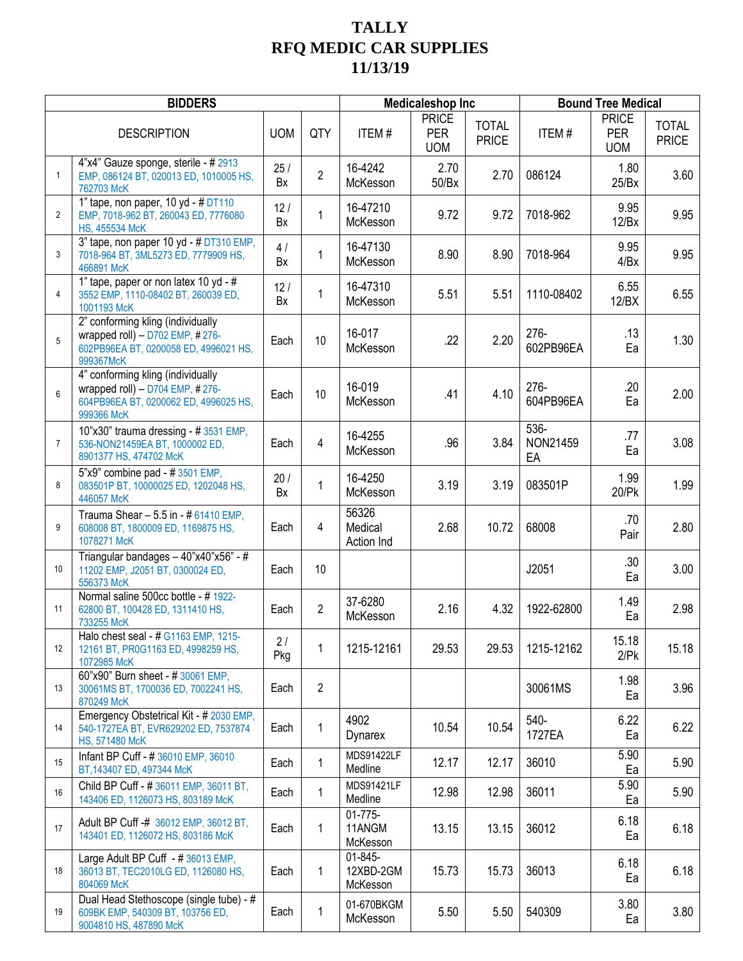## **TALLY RFQ MEDIC CAR SUPPLIES 11/13/19**

|                | <b>BIDDERS</b>                                                                                                                | <b>Medicaleshop Inc</b> |                |                                    | <b>Bound Tree Medical</b>                |                              |                           |                                          |                              |
|----------------|-------------------------------------------------------------------------------------------------------------------------------|-------------------------|----------------|------------------------------------|------------------------------------------|------------------------------|---------------------------|------------------------------------------|------------------------------|
|                | <b>DESCRIPTION</b>                                                                                                            | <b>UOM</b>              | QTY            | <b>ITEM#</b>                       | <b>PRICE</b><br><b>PER</b><br><b>UOM</b> | <b>TOTAL</b><br><b>PRICE</b> | <b>ITEM#</b>              | <b>PRICE</b><br><b>PER</b><br><b>UOM</b> | <b>TOTAL</b><br><b>PRICE</b> |
| $\mathbf{1}$   | 4"x4" Gauze sponge, sterile - # 2913<br>EMP, 086124 BT, 020013 ED, 1010005 HS,<br>762703 McK                                  | 25/<br>Bx               | $\overline{2}$ | 16-4242<br>McKesson                | 2.70<br>50/Bx                            | 2.70                         | 086124                    | 1.80<br>25/Bx                            | 3.60                         |
| 2              | 1" tape, non paper, 10 yd - # DT110<br>EMP, 7018-962 BT, 260043 ED, 7776080<br>HS, 455534 McK                                 | 12/<br>Bx               | 1              | 16-47210<br>McKesson               | 9.72                                     | 9.72                         | 7018-962                  | 9.95<br>12/Bx                            | 9.95                         |
| 3              | 3" tape, non paper 10 yd - # DT310 EMP,<br>7018-964 BT, 3ML5273 ED, 7779909 HS,<br>466891 McK                                 | 4/<br>Bx                | 1              | 16-47130<br>McKesson               | 8.90                                     | 8.90                         | 7018-964                  | 9.95<br>4/Bx                             | 9.95                         |
| 4              | 1" tape, paper or non latex 10 yd - #<br>3552 EMP, 1110-08402 BT, 260039 ED,<br>1001193 McK                                   | 12/<br>Bx               | 1              | 16-47310<br>McKesson               | 5.51                                     | 5.51                         | 1110-08402                | 6.55<br>12/BX                            | 6.55                         |
| 5              | 2" conforming kling (individually<br>wrapped roll) $-$ D702 EMP, #276-<br>602PB96EA BT, 0200058 ED, 4996021 HS,<br>999367McK  | Each                    | 10             | 16-017<br>McKesson                 | .22                                      | 2.20                         | 276-<br>602PB96EA         | .13<br>Ea                                | 1.30                         |
| $6\phantom{1}$ | 4" conforming kling (individually<br>wrapped roll) $-$ D704 EMP, #276-<br>604PB96EA BT, 0200062 ED, 4996025 HS,<br>999366 McK | Each                    | 10             | 16-019<br>McKesson                 | .41                                      | 4.10                         | 276-<br>604PB96EA         | .20<br>Ea                                | 2.00                         |
| $\overline{7}$ | 10"x30" trauma dressing - #3531 EMP,<br>536-NON21459EA BT, 1000002 ED,<br>8901377 HS, 474702 McK                              | Each                    | 4              | 16-4255<br>McKesson                | .96                                      | 3.84                         | $536 -$<br>NON21459<br>EA | .77<br>Ea                                | 3.08                         |
| 8              | $5"x9"$ combine pad - # 3501 EMP,<br>083501P BT, 10000025 ED, 1202048 HS,<br>446057 McK                                       | 20/<br>Bx               | 1              | 16-4250<br>McKesson                | 3.19                                     | 3.19                         | 083501P                   | 1.99<br>20/Pk                            | 1.99                         |
| 9              | Trauma Shear - 5.5 in - # 61410 EMP,<br>608008 BT, 1800009 ED, 1169875 HS,<br>1078271 McK                                     | Each                    | 4              | 56326<br>Medical<br>Action Ind     | 2.68                                     | 10.72                        | 68008                     | .70<br>Pair                              | 2.80                         |
| 10             | Triangular bandages - 40"x40"x56" - #<br>11202 EMP, J2051 BT, 0300024 ED,<br>556373 McK                                       | Each                    | 10             |                                    |                                          |                              | J2051                     | .30<br>Ea                                | 3.00                         |
| 11             | Normal saline 500cc bottle - #1922-<br>62800 BT, 100428 ED, 1311410 HS,<br>733255 McK                                         | Each                    | $\overline{2}$ | 37-6280<br>McKesson                | 2.16                                     | 4.32                         | 1922-62800                | 1.49<br>Ea                               | 2.98                         |
| 12             | Halo chest seal - # G1163 EMP, 1215-<br>12161 BT, PR0G1163 ED, 4998259 HS,<br>1072985 McK                                     | 2/<br>Pkg               | 1              | 1215-12161                         | 29.53                                    | 29.53                        | 1215-12162                | 15.18<br>2/Pk                            | 15.18                        |
| 13             | 60"x90" Burn sheet - #30061 EMP,<br>30061MS BT, 1700036 ED, 7002241 HS,<br>870249 McK                                         | Each                    | 2              |                                    |                                          |                              | 30061MS                   | 1.98<br>Ea                               | 3.96                         |
| 14             | Emergency Obstetrical Kit - # 2030 EMP,<br>540-1727EA BT, EVR629202 ED, 7537874<br>HS, 571480 McK                             | Each                    | 1              | 4902<br>Dynarex                    | 10.54                                    | 10.54                        | 540-<br>1727EA            | 6.22<br>Ea                               | 6.22                         |
| 15             | Infant BP Cuff - # 36010 EMP, 36010<br>BT, 143407 ED, 497344 McK                                                              | Each                    | $\mathbf{1}$   | MDS91422LF<br>Medline              | 12.17                                    | 12.17                        | 36010                     | 5.90<br>Ea                               | 5.90                         |
| 16             | Child BP Cuff - # 36011 EMP, 36011 BT,<br>143406 ED, 1126073 HS, 803189 McK                                                   | Each                    | 1              | MDS91421LF<br>Medline              | 12.98                                    | 12.98                        | 36011                     | 5.90<br>Ea                               | 5.90                         |
| 17             | Adult BP Cuff -# 36012 EMP, 36012 BT,<br>143401 ED, 1126072 HS, 803186 McK                                                    | Each                    | 1              | $01 - 775 -$<br>11ANGM<br>McKesson | 13.15                                    | 13.15                        | 36012                     | 6.18<br>Ea                               | 6.18                         |
| 18             | Large Adult BP Cuff - #36013 EMP,<br>36013 BT, TEC2010LG ED, 1126080 HS,<br>804069 McK                                        | Each                    | 1              | 01-845-<br>12XBD-2GM<br>McKesson   | 15.73                                    | 15.73                        | 36013                     | 6.18<br>Ea                               | 6.18                         |
| 19             | Dual Head Stethoscope (single tube) - #<br>609BK EMP, 540309 BT, 103756 ED,<br>9004810 HS, 487890 McK                         | Each                    | 1              | 01-670BKGM<br>McKesson             | 5.50                                     | 5.50                         | 540309                    | 3.80<br>Ea                               | 3.80                         |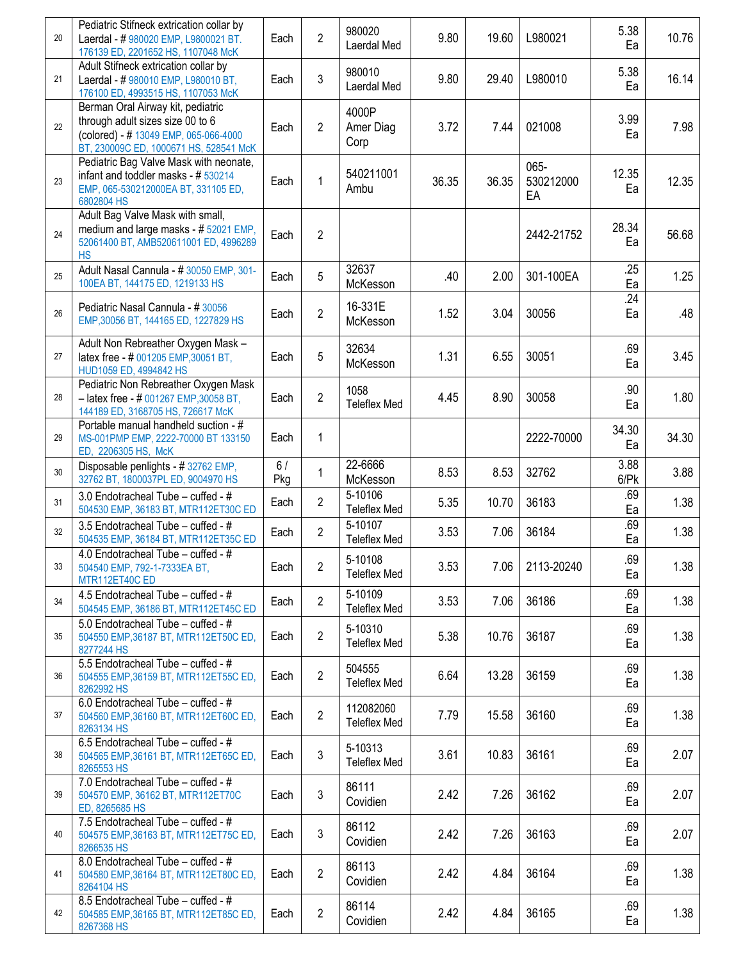| 20 | Pediatric Stifneck extrication collar by<br>Laerdal - # 980020 EMP, L9800021 BT.<br>176139 ED, 2201652 HS, 1107048 McK                                   | Each      | $\overline{2}$ | 980020<br>Laerdal Med            | 9.80  | 19.60 | L980021                 | 5.38<br>Ea                       | 10.76 |
|----|----------------------------------------------------------------------------------------------------------------------------------------------------------|-----------|----------------|----------------------------------|-------|-------|-------------------------|----------------------------------|-------|
| 21 | Adult Stifneck extrication collar by<br>Laerdal - #980010 EMP, L980010 BT,<br>176100 ED, 4993515 HS, 1107053 McK                                         | Each      | 3              | 980010<br>Laerdal Med            | 9.80  | 29.40 | L980010                 | 5.38<br>Ea                       | 16.14 |
| 22 | Berman Oral Airway kit, pediatric<br>through adult sizes size 00 to 6<br>(colored) - # 13049 EMP, 065-066-4000<br>BT, 230009C ED, 1000671 HS, 528541 McK | Each      | $\overline{2}$ | 4000P<br>Amer Diag<br>Corp       | 3.72  | 7.44  | 021008                  | 3.99<br>Ea                       | 7.98  |
| 23 | Pediatric Bag Valve Mask with neonate,<br>infant and toddler masks - # 530214<br>EMP, 065-530212000EA BT, 331105 ED,<br>6802804 HS                       | Each      | 1              | 540211001<br>Ambu                | 36.35 | 36.35 | 065-<br>530212000<br>EA | 12.35<br>Ea                      | 12.35 |
| 24 | Adult Bag Valve Mask with small,<br>medium and large masks - # 52021 EMP,<br>52061400 BT, AMB520611001 ED, 4996289<br><b>HS</b>                          | Each      | $\overline{2}$ |                                  |       |       | 2442-21752              | 28.34<br>Ea                      | 56.68 |
| 25 | Adult Nasal Cannula - #30050 EMP, 301-<br>100EA BT, 144175 ED, 1219133 HS                                                                                | Each      | 5              | 32637<br>McKesson                | .40   | 2.00  | 301-100EA               | .25<br>Ea                        | 1.25  |
| 26 | Pediatric Nasal Cannula - #30056<br>EMP, 30056 BT, 144165 ED, 1227829 HS                                                                                 | Each      | $\overline{2}$ | 16-331E<br>McKesson              | 1.52  | 3.04  | 30056                   | .24<br>Ea                        | .48   |
| 27 | Adult Non Rebreather Oxygen Mask -<br>latex free - # 001205 EMP, 30051 BT,<br>HUD1059 ED, 4994842 HS                                                     | Each      | 5              | 32634<br>McKesson                | 1.31  | 6.55  | 30051                   | .69<br>Ea                        | 3.45  |
| 28 | Pediatric Non Rebreather Oxygen Mask<br>- latex free - # 001267 EMP, 30058 BT,<br>144189 ED, 3168705 HS, 726617 McK                                      | Each      | $\overline{2}$ | 1058<br><b>Teleflex Med</b>      | 4.45  | 8.90  | 30058                   | .90<br>Ea                        | 1.80  |
| 29 | Portable manual handheld suction - #<br>MS-001PMP EMP, 2222-70000 BT 133150<br>ED, 2206305 HS, McK                                                       | Each      | 1              |                                  |       |       | 2222-70000              | 34.30<br>Ea                      | 34.30 |
| 30 | Disposable penlights - #32762 EMP,<br>32762 BT, 1800037PL ED, 9004970 HS                                                                                 | 6/<br>Pkg | $\mathbf{1}$   | 22-6666<br>McKesson              | 8.53  | 8.53  | 32762                   | $\overline{3.88}$<br>$6$ / $P$ k | 3.88  |
| 31 | 3.0 Endotracheal Tube - cuffed - #<br>504530 EMP, 36183 BT, MTR112ET30C ED                                                                               | Each      | $\overline{2}$ | 5-10106<br><b>Teleflex Med</b>   | 5.35  | 10.70 | 36183                   | .69<br>Ea                        | 1.38  |
| 32 | 3.5 Endotracheal Tube - cuffed - #<br>504535 EMP, 36184 BT, MTR112ET35C ED                                                                               | Each      | $\overline{2}$ | 5-10107<br><b>Teleflex Med</b>   | 3.53  | 7.06  | 36184                   | .69<br>Ea                        | 1.38  |
| 33 | 4.0 Endotracheal Tube - cuffed - #<br>504540 EMP, 792-1-7333EA BT,<br>MTR112ET40C ED                                                                     | Each      | 2              | 5-10108<br><b>Teleflex Med</b>   | 3.53  | 7.06  | 2113-20240              | .69<br>Ea                        | 1.38  |
| 34 | 4.5 Endotracheal Tube - cuffed - #<br>504545 EMP, 36186 BT, MTR112ET45C ED                                                                               | Each      | $\overline{2}$ | 5-10109<br><b>Teleflex Med</b>   | 3.53  | 7.06  | 36186                   | .69<br>Ea                        | 1.38  |
| 35 | 5.0 Endotracheal Tube - cuffed - #<br>504550 EMP, 36187 BT, MTR112ET50C ED,<br>8277244 HS                                                                | Each      | $\overline{2}$ | 5-10310<br><b>Teleflex Med</b>   | 5.38  | 10.76 | 36187                   | .69<br>Ea                        | 1.38  |
| 36 | 5.5 Endotracheal Tube - cuffed - #<br>504555 EMP, 36159 BT, MTR112ET55C ED,<br>8262992 HS                                                                | Each      | $\overline{2}$ | 504555<br><b>Teleflex Med</b>    | 6.64  | 13.28 | 36159                   | .69<br>Ea                        | 1.38  |
| 37 | 6.0 Endotracheal $\overline{\text{Tube}} - \text{cuffed} - \#$<br>504560 EMP, 36160 BT, MTR112ET60C ED,<br>8263134 HS                                    | Each      | $\overline{2}$ | 112082060<br><b>Teleflex Med</b> | 7.79  | 15.58 | 36160                   | .69<br>Ea                        | 1.38  |
| 38 | 6.5 Endotracheal Tube - cuffed - $#$<br>504565 EMP, 36161 BT, MTR112ET65C ED,<br>8265553 HS                                                              | Each      | 3              | 5-10313<br><b>Teleflex Med</b>   | 3.61  | 10.83 | 36161                   | .69<br>Ea                        | 2.07  |
| 39 | 7.0 Endotracheal Tube - cuffed - #<br>504570 EMP, 36162 BT, MTR112ET70C<br>ED, 8265685 HS                                                                | Each      | 3              | 86111<br>Covidien                | 2.42  | 7.26  | 36162                   | .69<br>Ea                        | 2.07  |
| 40 | 7.5 Endotracheal Tube - cuffed - #<br>504575 EMP, 36163 BT, MTR112ET75C ED,<br>8266535 HS                                                                | Each      | 3              | 86112<br>Covidien                | 2.42  | 7.26  | 36163                   | .69<br>Ea                        | 2.07  |
| 41 | 8.0 Endotracheal Tube - cuffed - #<br>504580 EMP, 36164 BT, MTR112ET80C ED,<br>8264104 HS                                                                | Each      | $\overline{2}$ | 86113<br>Covidien                | 2.42  | 4.84  | 36164                   | .69<br>Ea                        | 1.38  |
| 42 | 8.5 Endotracheal Tube - cuffed - #<br>504585 EMP, 36165 BT, MTR112ET85C ED,<br>8267368 HS                                                                | Each      | $\overline{2}$ | 86114<br>Covidien                | 2.42  | 4.84  | 36165                   | .69<br>Ea                        | 1.38  |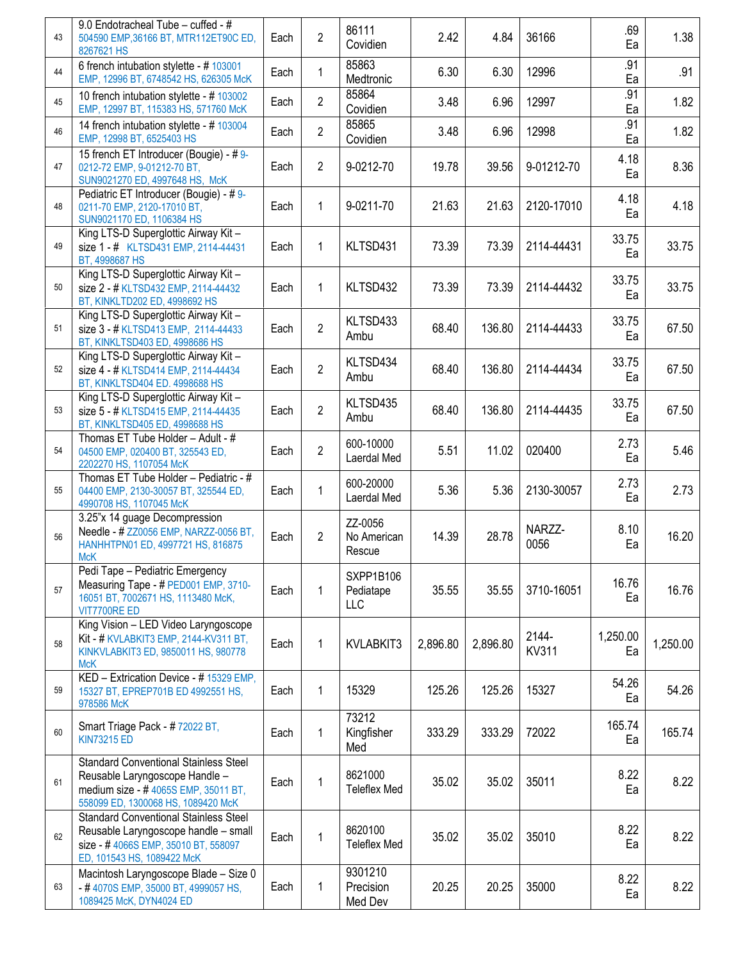| 43 | 9.0 Endotracheal Tube - cuffed - #<br>504590 EMP, 36166 BT, MTR112ET90C ED,<br>8267621 HS                                                                    | Each | $\overline{2}$ | 86111<br>Covidien                | 2.42     | 4.84     | 36166                 | .69<br>Ea      | 1.38     |
|----|--------------------------------------------------------------------------------------------------------------------------------------------------------------|------|----------------|----------------------------------|----------|----------|-----------------------|----------------|----------|
| 44 | 6 french intubation stylette - #103001<br>EMP, 12996 BT, 6748542 HS, 626305 McK                                                                              | Each | $\mathbf{1}$   | 85863<br>Medtronic               | 6.30     | 6.30     | 12996                 | .91<br>Ea      | .91      |
| 45 | 10 french intubation stylette - # 103002<br>EMP, 12997 BT, 115383 HS, 571760 McK                                                                             | Each | $\overline{2}$ | 85864<br>Covidien                | 3.48     | 6.96     | 12997                 | .91<br>Ea      | 1.82     |
| 46 | 14 french intubation stylette - # 103004<br>EMP, 12998 BT, 6525403 HS                                                                                        | Each | $\overline{2}$ | 85865<br>Covidien                | 3.48     | 6.96     | 12998                 | .91<br>Ea      | 1.82     |
| 47 | 15 french ET Introducer (Bougie) - # 9-<br>0212-72 EMP, 9-01212-70 BT,<br>SUN9021270 ED, 4997648 HS, McK                                                     | Each | 2              | 9-0212-70                        | 19.78    | 39.56    | 9-01212-70            | 4.18<br>Ea     | 8.36     |
| 48 | Pediatric ET Introducer (Bougie) - #9-<br>0211-70 EMP, 2120-17010 BT,<br>SUN9021170 ED, 1106384 HS                                                           | Each | 1              | 9-0211-70                        | 21.63    | 21.63    | 2120-17010            | 4.18<br>Ea     | 4.18     |
| 49 | King LTS-D Superglottic Airway Kit-<br>size 1 - # KLTSD431 EMP, 2114-44431<br>BT, 4998687 HS                                                                 | Each | 1              | KLTSD431                         | 73.39    | 73.39    | 2114-44431            | 33.75<br>Ea    | 33.75    |
| 50 | King LTS-D Superglottic Airway Kit-<br>size 2 - # KLTSD432 EMP, 2114-44432<br>BT, KINKLTD202 ED, 4998692 HS                                                  | Each | $\mathbf{1}$   | KLTSD432                         | 73.39    | 73.39    | 2114-44432            | 33.75<br>Ea    | 33.75    |
| 51 | King LTS-D Superglottic Airway Kit-<br>size 3 - # KLTSD413 EMP, 2114-44433<br>BT, KINKLTSD403 ED, 4998686 HS                                                 | Each | $\overline{2}$ | KLTSD433<br>Ambu                 | 68.40    | 136.80   | 2114-44433            | 33.75<br>Ea    | 67.50    |
| 52 | King LTS-D Superglottic Airway Kit-<br>size 4 - # KLTSD414 EMP, 2114-44434<br>BT, KINKLTSD404 ED. 4998688 HS                                                 | Each | $\overline{2}$ | KLTSD434<br>Ambu                 | 68.40    | 136.80   | 2114-44434            | 33.75<br>Ea    | 67.50    |
| 53 | King LTS-D Superglottic Airway Kit-<br>size 5 - # KLTSD415 EMP, 2114-44435<br>BT, KINKLTSD405 ED, 4998688 HS                                                 | Each | $\overline{2}$ | KLTSD435<br>Ambu                 | 68.40    | 136.80   | 2114-44435            | 33.75<br>Ea    | 67.50    |
| 54 | Thomas ET Tube Holder - Adult - #<br>04500 EMP, 020400 BT, 325543 ED,<br>2202270 HS, 1107054 McK                                                             | Each | $\overline{2}$ | 600-10000<br>Laerdal Med         | 5.51     | 11.02    | 020400                | 2.73<br>Ea     | 5.46     |
| 55 | Thomas ET Tube Holder - Pediatric - #<br>04400 EMP, 2130-30057 BT, 325544 ED,<br>4990708 HS, 1107045 McK                                                     | Each | 1              | 600-20000<br>Laerdal Med         | 5.36     | 5.36     | 2130-30057            | 2.73<br>Ea     | 2.73     |
| 56 | 3.25"x 14 guage Decompression<br>Needle - # ZZ0056 EMP, NARZZ-0056 BT,<br>HANHHTPN01 ED, 4997721 HS, 816875<br><b>McK</b>                                    | Each | $\overline{2}$ | ZZ-0056<br>No American<br>Rescue | 14.39    | 28.78    | NARZZ-<br>0056        | 8.10<br>Ea     | 16.20    |
| 57 | Pedi Tape - Pediatric Emergency<br>Measuring Tape - # PED001 EMP, 3710-<br>16051 BT, 7002671 HS, 1113480 McK,<br>VIT7700RE ED                                | Each | 1              | SXPP1B106<br>Pediatape<br>LLC    | 35.55    | 35.55    | 3710-16051            | 16.76<br>Ea    | 16.76    |
| 58 | King Vision - LED Video Laryngoscope<br>Kit - # KVLABKIT3 EMP, 2144-KV311 BT,<br>KINKVLABKIT3 ED, 9850011 HS, 980778<br><b>McK</b>                           | Each | 1              | KVLABKIT3                        | 2,896.80 | 2,896.80 | 2144-<br><b>KV311</b> | 1,250.00<br>Ea | 1,250.00 |
| 59 | KED - Extrication Device - # 15329 EMP,<br>15327 BT, EPREP701B ED 4992551 HS,<br>978586 McK                                                                  | Each | 1              | 15329                            | 125.26   | 125.26   | 15327                 | 54.26<br>Ea    | 54.26    |
| 60 | Smart Triage Pack - #72022 BT,<br><b>KIN73215 ED</b>                                                                                                         | Each | $\mathbf{1}$   | 73212<br>Kingfisher<br>Med       | 333.29   | 333.29   | 72022                 | 165.74<br>Ea   | 165.74   |
| 61 | <b>Standard Conventional Stainless Steel</b><br>Reusable Laryngoscope Handle -<br>medium size - # 4065S EMP, 35011 BT,<br>558099 ED, 1300068 HS, 1089420 McK | Each | 1              | 8621000<br><b>Teleflex Med</b>   | 35.02    | 35.02    | 35011                 | 8.22<br>Ea     | 8.22     |
| 62 | <b>Standard Conventional Stainless Steel</b><br>Reusable Laryngoscope handle - small<br>size - #4066S EMP, 35010 BT, 558097<br>ED, 101543 HS, 1089422 McK    | Each | $\mathbf{1}$   | 8620100<br><b>Teleflex Med</b>   | 35.02    | 35.02    | 35010                 | 8.22<br>Ea     | 8.22     |
| 63 | Macintosh Laryngoscope Blade - Size 0<br>-#4070S EMP, 35000 BT, 4999057 HS,<br>1089425 McK, DYN4024 ED                                                       | Each | 1              | 9301210<br>Precision<br>Med Dev  | 20.25    | 20.25    | 35000                 | 8.22<br>Ea     | 8.22     |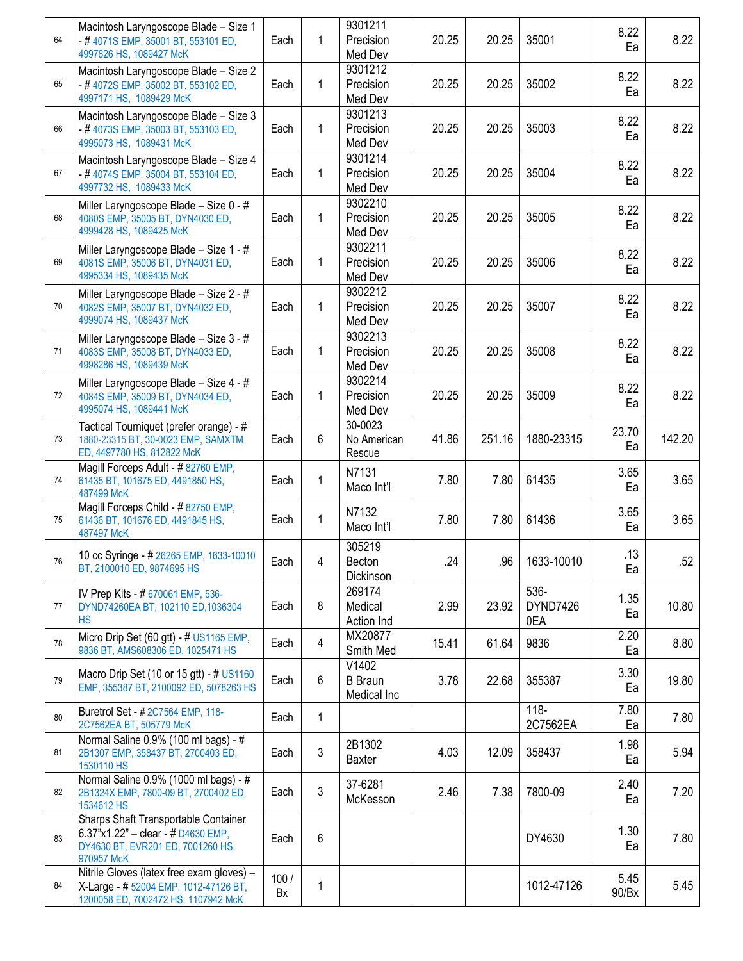| 64 | Macintosh Laryngoscope Blade - Size 1<br>-#4071S EMP, 35001 BT, 553101 ED,<br>4997826 HS, 1089427 McK                           | Each       | 1            | 9301211<br>Precision<br>Med Dev        | 20.25 | 20.25  | 35001                   | 8.22<br>Ea    | 8.22   |
|----|---------------------------------------------------------------------------------------------------------------------------------|------------|--------------|----------------------------------------|-------|--------|-------------------------|---------------|--------|
| 65 | Macintosh Laryngoscope Blade - Size 2<br>-#4072S EMP, 35002 BT, 553102 ED,<br>4997171 HS, 1089429 McK                           | Each       | 1            | 9301212<br>Precision<br>Med Dev        | 20.25 | 20.25  | 35002                   | 8.22<br>Ea    | 8.22   |
| 66 | Macintosh Laryngoscope Blade - Size 3<br>-#4073S EMP, 35003 BT, 553103 ED,<br>4995073 HS, 1089431 McK                           | Each       | $\mathbf{1}$ | 9301213<br>Precision<br>Med Dev        | 20.25 | 20.25  | 35003                   | 8.22<br>Ea    | 8.22   |
| 67 | Macintosh Laryngoscope Blade - Size 4<br>-#4074S EMP, 35004 BT, 553104 ED,<br>4997732 HS, 1089433 McK                           | Each       | 1            | 9301214<br>Precision<br>Med Dev        | 20.25 | 20.25  | 35004                   | 8.22<br>Ea    | 8.22   |
| 68 | Miller Laryngoscope Blade - Size 0 - #<br>4080S EMP, 35005 BT, DYN4030 ED,<br>4999428 HS, 1089425 McK                           | Each       | 1            | 9302210<br>Precision<br>Med Dev        | 20.25 | 20.25  | 35005                   | 8.22<br>Ea    | 8.22   |
| 69 | Miller Laryngoscope Blade - Size 1 - #<br>4081S EMP, 35006 BT, DYN4031 ED,<br>4995334 HS, 1089435 McK                           | Each       | 1            | 9302211<br>Precision<br>Med Dev        | 20.25 | 20.25  | 35006                   | 8.22<br>Ea    | 8.22   |
| 70 | Miller Laryngoscope Blade - Size 2 - #<br>4082S EMP, 35007 BT, DYN4032 ED,<br>4999074 HS, 1089437 McK                           | Each       | 1            | 9302212<br>Precision<br>Med Dev        | 20.25 | 20.25  | 35007                   | 8.22<br>Ea    | 8.22   |
| 71 | Miller Laryngoscope Blade - Size 3 - #<br>4083S EMP, 35008 BT, DYN4033 ED,<br>4998286 HS, 1089439 McK                           | Each       | $\mathbf{1}$ | 9302213<br>Precision<br>Med Dev        | 20.25 | 20.25  | 35008                   | 8.22<br>Ea    | 8.22   |
| 72 | Miller Laryngoscope Blade - Size 4 - #<br>4084S EMP, 35009 BT, DYN4034 ED,<br>4995074 HS, 1089441 McK                           | Each       | 1            | 9302214<br>Precision<br>Med Dev        | 20.25 | 20.25  | 35009                   | 8.22<br>Ea    | 8.22   |
| 73 | Tactical Tourniquet (prefer orange) - #<br>1880-23315 BT, 30-0023 EMP, SAMXTM<br>ED, 4497780 HS, 812822 McK                     | Each       | 6            | 30-0023<br>No American<br>Rescue       | 41.86 | 251.16 | 1880-23315              | 23.70<br>Ea   | 142.20 |
| 74 | Magill Forceps Adult - #82760 EMP,<br>61435 BT, 101675 ED, 4491850 HS,<br>487499 McK                                            | Each       | $\mathbf{1}$ | N7131<br>Maco Int'l                    | 7.80  | 7.80   | 61435                   | 3.65<br>Ea    | 3.65   |
| 75 | Magill Forceps Child - #82750 EMP,<br>61436 BT, 101676 ED, 4491845 HS,<br>487497 McK                                            | Each       | 1            | N7132<br>Maco Int'l                    | 7.80  | 7.80   | 61436                   | 3.65<br>Ea    | 3.65   |
| 76 | 10 cc Syringe - # 26265 EMP, 1633-10010<br>BT, 2100010 ED, 9874695 HS                                                           | Each       | 4            | 305219<br>Becton<br>Dickinson          | .24   | .96    | 1633-10010              | .13<br>Ea     | .52    |
| 77 | IV Prep Kits - # 670061 EMP, 536-<br>DYND74260EA BT, 102110 ED, 1036304<br><b>HS</b>                                            | Each       | 8            | 269174<br>Medical<br>Action Ind        | 2.99  | 23.92  | 536-<br>DYND7426<br>0EA | 1.35<br>Ea    | 10.80  |
| 78 | Micro Drip Set (60 gtt) - # US1165 EMP,<br>9836 BT, AMS608306 ED, 1025471 HS                                                    | Each       | 4            | MX20877<br>Smith Med                   | 15.41 | 61.64  | 9836                    | 2.20<br>Ea    | 8.80   |
| 79 | Macro Drip Set (10 or 15 gtt) - # US1160<br>EMP, 355387 BT, 2100092 ED, 5078263 HS                                              | Each       | 6            | V1402<br><b>B</b> Braun<br>Medical Inc | 3.78  | 22.68  | 355387                  | 3.30<br>Ea    | 19.80  |
| 80 | Buretrol Set - #2C7564 EMP, 118-<br>2C7562EA BT, 505779 McK                                                                     | Each       | $\mathbf{1}$ |                                        |       |        | $118 -$<br>2C7562EA     | 7.80<br>Ea    | 7.80   |
| 81 | Normal Saline 0.9% (100 ml bags) - #<br>2B1307 EMP, 358437 BT, 2700403 ED,<br>1530110 HS                                        | Each       | 3            | 2B1302<br><b>Baxter</b>                | 4.03  | 12.09  | 358437                  | 1.98<br>Ea    | 5.94   |
| 82 | Normal Saline 0.9% (1000 ml bags) - #<br>2B1324X EMP, 7800-09 BT, 2700402 ED,<br>1534612 HS                                     | Each       | 3            | 37-6281<br>McKesson                    | 2.46  | 7.38   | 7800-09                 | 2.40<br>Ea    | 7.20   |
| 83 | Sharps Shaft Transportable Container<br>6.37"x1.22" - clear - # $D4630$ EMP,<br>DY4630 BT, EVR201 ED, 7001260 HS,<br>970957 McK | Each       | 6            |                                        |       |        | DY4630                  | 1.30<br>Ea    | 7.80   |
| 84 | Nitrile Gloves (latex free exam gloves) -<br>X-Large - # 52004 EMP, 1012-47126 BT,<br>1200058 ED, 7002472 HS, 1107942 McK       | 100/<br>Bx | 1            |                                        |       |        | 1012-47126              | 5.45<br>90/Bx | 5.45   |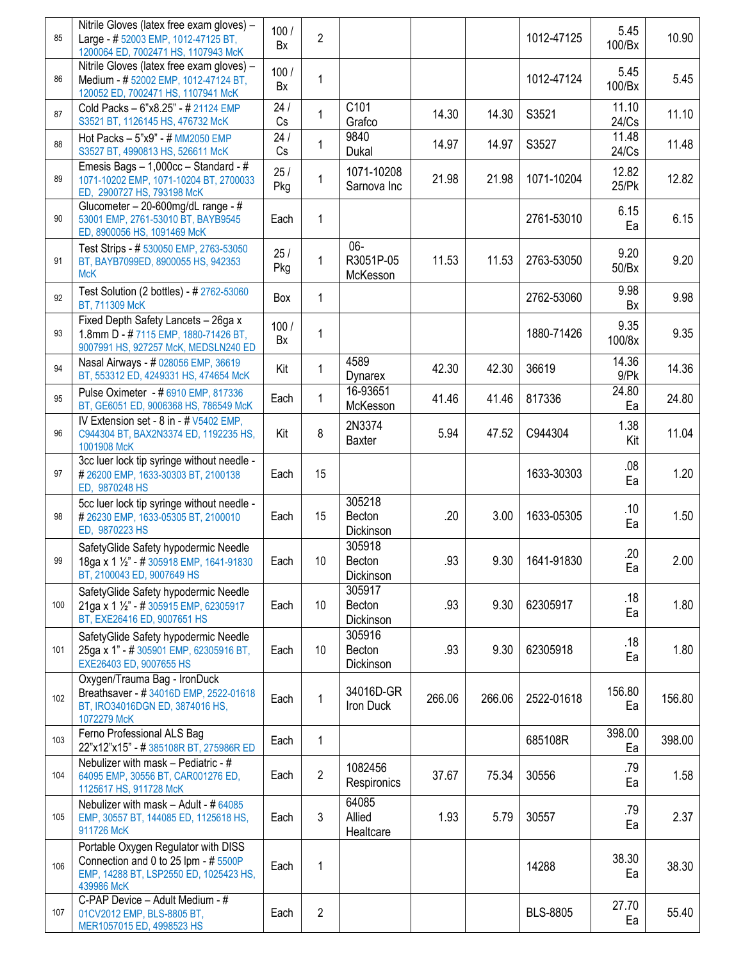| 85  | Nitrile Gloves (latex free exam gloves) -<br>Large - # 52003 EMP, 1012-47125 BT,<br>1200064 ED, 7002471 HS, 1107943 McK             | 100/<br>Bx | $\overline{2}$ |                                 |        |        | 1012-47125      | 5.45<br>100/Bx   | 10.90             |
|-----|-------------------------------------------------------------------------------------------------------------------------------------|------------|----------------|---------------------------------|--------|--------|-----------------|------------------|-------------------|
| 86  | Nitrile Gloves (latex free exam gloves) -<br>Medium - # 52002 EMP, 1012-47124 BT,<br>120052 ED, 7002471 HS, 1107941 McK             | 100/<br>Bx | 1              |                                 |        |        | 1012-47124      | 5.45<br>100/Bx   | 5.45              |
| 87  | Cold Packs - 6"x8.25" - # 21124 EMP<br>S3521 BT, 1126145 HS, 476732 McK                                                             | 24/<br>Cs  | 1              | C101<br>Grafco                  | 14.30  | 14.30  | S3521           | 11.10<br>24/Cs   | 11.10             |
| 88  | Hot Packs - 5"x9" - # MM2050 EMP<br>S3527 BT, 4990813 HS, 526611 McK                                                                | 24/<br>Cs  | 1              | 9840<br>Dukal                   | 14.97  | 14.97  | S3527           | 11.48<br>24/Cs   | 11.48             |
| 89  | Emesis Bags - 1,000cc - Standard - #<br>1071-10202 EMP, 1071-10204 BT, 2700033<br>ED, 2900727 HS, 793198 McK                        | 25/<br>Pkg | 1              | 1071-10208<br>Sarnova Inc       | 21.98  | 21.98  | 1071-10204      | 12.82<br>25/Pk   | 12.82             |
| 90  | Glucometer - 20-600mg/dL range - #<br>53001 EMP, 2761-53010 BT, BAYB9545<br>ED, 8900056 HS, 1091469 McK                             | Each       | 1              |                                 |        |        | 2761-53010      | 6.15<br>Ea       | 6.15              |
| 91  | Test Strips - # 530050 EMP, 2763-53050<br>BT, BAYB7099ED, 8900055 HS, 942353<br><b>McK</b>                                          | 25/<br>Pkg | 1              | $06 -$<br>R3051P-05<br>McKesson | 11.53  | 11.53  | 2763-53050      | 9.20<br>50/Bx    | 9.20              |
| 92  | Test Solution (2 bottles) - # 2762-53060<br>BT, 711309 McK                                                                          | Box        | 1              |                                 |        |        | 2762-53060      | 9.98<br>Bx       | 9.98              |
| 93  | Fixed Depth Safety Lancets - 26ga x<br>1.8mm D - #7115 EMP, 1880-71426 BT,<br>9007991 HS, 927257 McK, MEDSLN240 ED                  | 100/<br>Bx | 1              |                                 |        |        | 1880-71426      | 9.35<br>100/8x   | 9.35              |
| 94  | Nasal Airways - # 028056 EMP, 36619<br>BT, 553312 ED, 4249331 HS, 474654 McK                                                        | Kit        | 1              | 4589<br>Dynarex                 | 42.30  | 42.30  | 36619           | 14.36<br>$9$ /Pk | 14.36             |
| 95  | Pulse Oximeter - # 6910 EMP, 817336<br>BT, GE6051 ED, 9006368 HS, 786549 McK                                                        | Each       | 1              | 16-93651<br>McKesson            | 41.46  | 41.46  | 817336          | 24.80<br>Ea      | 24.80             |
| 96  | IV Extension set - 8 in - # V5402 EMP,<br>C944304 BT, BAX2N3374 ED, 1192235 HS,<br>1001908 McK                                      | Kit        | 8              | 2N3374<br>Baxter                | 5.94   | 47.52  | C944304         | 1.38<br>Kit      | 11.04             |
| 97  | 3cc luer lock tip syringe without needle -<br>#26200 EMP, 1633-30303 BT, 2100138<br>ED, 9870248 HS                                  | Each       | 15             |                                 |        |        | 1633-30303      | .08<br>Ea        | 1.20              |
| 98  | 5cc luer lock tip syringe without needle -<br>#26230 EMP, 1633-05305 BT, 2100010<br>ED, 9870223 HS                                  | Each       | 15             | 305218<br>Becton<br>Dickinson   | .20    | 3.00   | 1633-05305      | .10<br>Ea        | 1.50              |
| 99  | SafetyGlide Safety hypodermic Needle<br>18ga x 1 1/2" - # 305918 EMP, 1641-91830<br>BT, 2100043 ED, 9007649 HS                      | Each       | 10             | 305918<br>Becton<br>Dickinson   | .93    | 9.30   | 1641-91830      | .20<br>Ea        | 2.00 <sub>1</sub> |
| 100 | SafetyGlide Safety hypodermic Needle<br>21ga x 1 1/2" - # 305915 EMP, 62305917<br>BT, EXE26416 ED, 9007651 HS                       | Each       | 10             | 305917<br>Becton<br>Dickinson   | .93    | 9.30   | 62305917        | .18<br>Ea        | 1.80              |
| 101 | SafetyGlide Safety hypodermic Needle<br>25ga x 1" - # 305901 EMP, 62305916 BT,<br>EXE26403 ED, 9007655 HS                           | Each       | 10             | 305916<br>Becton<br>Dickinson   | .93    | 9.30   | 62305918        | .18<br>Ea        | 1.80              |
| 102 | Oxygen/Trauma Bag - IronDuck<br>Breathsaver - #34016D EMP, 2522-01618<br>BT, IRO34016DGN ED, 3874016 HS,<br>1072279 McK             | Each       | 1              | 34016D-GR<br>Iron Duck          | 266.06 | 266.06 | 2522-01618      | 156.80<br>Ea     | 156.80            |
| 103 | Ferno Professional ALS Bag<br>22"x12"x15" - #385108R BT, 275986R ED                                                                 | Each       | 1              |                                 |        |        | 685108R         | 398.00<br>Ea     | 398.00            |
| 104 | Nebulizer with mask - Pediatric - #<br>64095 EMP, 30556 BT, CAR001276 ED,<br>1125617 HS, 911728 McK                                 | Each       | $\overline{2}$ | 1082456<br>Respironics          | 37.67  | 75.34  | 30556           | .79<br>Ea        | 1.58              |
| 105 | Nebulizer with mask - Adult - # 64085<br>EMP, 30557 BT, 144085 ED, 1125618 HS,<br>911726 McK                                        | Each       | 3              | 64085<br>Allied<br>Healtcare    | 1.93   | 5.79   | 30557           | .79<br>Ea        | 2.37              |
| 106 | Portable Oxygen Regulator with DISS<br>Connection and 0 to 25 lpm - # 5500P<br>EMP, 14288 BT, LSP2550 ED, 1025423 HS,<br>439986 McK | Each       | 1              |                                 |        |        | 14288           | 38.30<br>Ea      | 38.30             |
| 107 | C-PAP Device - Adult Medium - #<br>01CV2012 EMP, BLS-8805 BT,<br>MER1057015 ED, 4998523 HS                                          | Each       | $\overline{2}$ |                                 |        |        | <b>BLS-8805</b> | 27.70<br>Ea      | 55.40             |